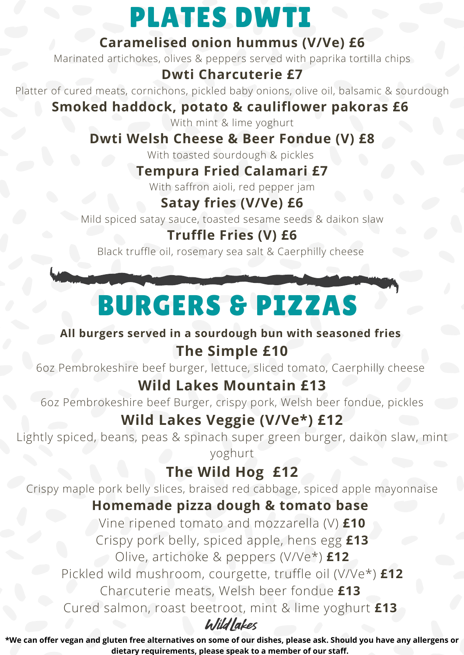## PLATES DWTI

#### **Caramelised onion hummus (V/Ve) £6**

Marinated artichokes, olives & peppers served with paprika tortilla chips

#### **Dwti Charcuterie £7**

Platter of cured meats, cornichons, pickled baby onions, olive oil, balsamic & sourdough

### **Smoked haddock, potato & cauliflower pakoras £6**

With mint & lime yoghurt

### **Dwti Welsh Cheese & Beer Fondue (V) £8**

With toasted sourdough & pickles

### **Tempura Fried Calamari £7**

With saffron aioli, red pepper jam

### **Satay fries (V/Ve) £6**

Mild spiced satay sauce, toasted sesame seeds & daikon slaw

### **Truffle Fries (V) £6**

Black truffle oil, rosemary sea salt & Caerphilly cheese

# BURGERS & PIZZAS

### **All burgers served in a sourdough bun with seasoned fries**

### **The Simple £10**

6oz Pembrokeshire beef burger, lettuce, sliced tomato, Caerphilly cheese

### **Wild Lakes Mountain £13**

6oz Pembrokeshire beef Burger, crispy pork, Welsh beer fondue, pickles

## **Wild Lakes Veggie (V/Ve\*) £12**

Lightly spiced, beans, peas & spinach super green burger, daikon slaw, mint yoghurt

## **The Wild Hog £12**

Crispy maple pork belly slices, braised red cabbage, spiced apple mayonnaise

### **Homemade pizza dough & tomato base**

Vine ripened tomato and mozzarella (V) **£10** Crispy pork belly, spiced apple, hens egg **£13** Olive, artichoke & peppers (V/Ve\*) **£12** Pickled wild mushroom, courgette, truffle oil (V/Ve\*) **£12** Charcuterie meats, Welsh beer fondue **£13** Cured salmon, roast beetroot, mint & lime yoghurt **£13**

Wildlakes

\*We can offer vegan and gluten free alternatives on some of our dishes, please ask. Should you have any allergens or **dietary requirements, please speak to a member of our staff.**